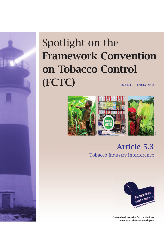# Spotlight on the Framework Convention on Tobacco Control (FCTC) ISSUE THREE/JULY 2008



Article 5.3 Tobacco Industry Interference



Please check website for translations www.smokefreepartnership.eu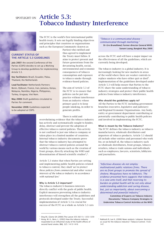## SPOTLIGHT ON **Article 5.3:** Tobacco Industry Interference

The FCTC is the world's first international public health treaty. It sets out legally binding objectives and principles that countries or organisations such as the European Community (known as

#### CURRENT STATUS OF THE ARTICLE 5.3 GUIDELINES

July 2007: the second Conference of the Parties (COP2) decides to set up a Working Group to develop guidelines for implementing Article 5.3.

Key facilitators: Brazil, Ecuador, Palau, Thailand, the Netherlands

Lead facilitator: Netherlands Partners: Benin, Djibouti, France, Iran, Jamaica, Kenya, Malaysia, Namibia, Nigeria, Philippines, Turkey, Uruguay, Viet Nam.

May 2008: Draft guidelines circulated to Parties for comment.

November 2008: Guidelines expected to be adopted at COP3.

Parties) who ratified and thus agreed to implement the Treaty must follow. It aims to protect present and future generations from the devastating health, social, environmental and economic consequences of tobacco consumption and exposure to tobacco smoke through evidence-based policies.

The aim of Article 5.3 of the FCTC is to ensure that policies can be put into practice without interference from an industry whose primary goal is to keep people smoking, in order to generate profits.

There is solid and overwhelming evidence that the tobacco industry has actively and systematically sought to hinder, delay, obstruct and prevent the adoption of effective tobacco control policies. This activity is not confined to just one tobacco company or taken place in a limited number of countries. Internal tobacco industry documents prove that the tobacco industry has attempted to obstruct tobacco control policies around the world by various means such as the creation of front groups, directly attacking the WHO and dissemination of biased scientific studies<sup>1</sup>,<sup>2</sup>.

Article 5.3 states that when Parties are setting and implementing public health policies related to tobacco control, they shall '*act to protect these policies from commercial and other vested interests of the tobacco industry in accordance with national law*.'

#### Why is Article 5.3 important?

The tobacco industry's business interests directly conflict with the goals of public health. Explicit measures preventing tobacco industry interference will strengthen all the guidelines and protocols developed under the Treaty. Successful implementation of Article 5.3 is crucial for success of the FCTC as a whole as Article 5.3 cuts

#### 1 Ong EK, Glantz SA (2000).The Lancet 355 (9211): 1253-1259 2 Hong, M. K., Bero, L. (2002) How the tobacco industry responded to an influential study of the health effects of second hand smoke. BMJ. 325: 1413-1416

*"Tobacco is a communicated disease – communicated through marketing."* Dr *Gro Brundtland,* Former director General WHO. Sanam Luang, Bangkok May 2000

across the FCTC and will have a major impact on the effectiveness of all the guidelines, which are currently being developed.

The tobacco industry is a global industry. It is increasingly looking for new markets in areas of the world where there are weaker controls to replace smokers who have either quit or died<sup>3</sup>. Implementation of the guidelines developed under Article 5.3 will help ensure that Parties to the FCTC share the same understanding of tobacco industry strategies and protect their public health policies from tobacco industry interference.

#### Who should the guidelines apply to?

All the Parties to the FCTC including government branches (executive, legislative and judiciary) and Regional Economic Organisations. Any body, entity or government department contributing or potentially contributing to public health policies and involved in implementing the FCTC.

#### What is meant by the Tobacco Industry?

The FCTC defines the tobacco industry as tobacco manufacturers, wholesale distributors and importers of tobacco products. Article 5.3 should all include other entities and personnel who work for, or on behalf of, the tobacco industry such as wholesale distributors, front groups, tobacco retailers, tobacco trade unions and individuals such as employees, lawyers, scientists, lobbyists and journalists.

*"Infectious diseases do not employ multinational public relations firms. There are no front groups to promote the spread of cholera. Mosquitoes have no lobbyists. The evidence presented here suggests that tobacco is a case unto itself, and that reversing its burden on global health will be not only about understanding addiction and curing disease, but, just as importantly, about overcoming a determined and powerful industry."*

Committee of Experts on Tobacco Industry Documents,' Tobacco Company Strategies to Undermine Tobacco Control Activities at the WHO

<sup>3</sup> Nakkash R, Lee K, (2006) News analysis: Lebanon: Business as usual for the tobacco industry?. Tobacco Control; 15(3): 147.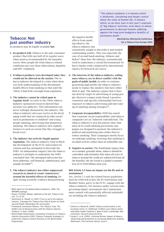#### *"The tobacco epidemic is a menace which is deliberate, calculating and deeply cynical about the value of human life. A menace which, as we have seen in last year's exposure of 'big tobacco' activities, even dares to advise governments to discount human suffering against the long-term budgetary benefits of premature death."*

*David Byrne*, Ministerial Conference for a Tobacco-free Europe 2004

### Tobacco: Not just another industry

Its products may be legally available but:

- 1. Its products kill. Tobacco is the only consumer product that kills one half of its regular users when used as recommended by the manufacturers. More people die from tobacco related conditions per year than tuberculosis, hepatitis and HIV4 combined.
- 2. If tobacco products were developed today they would not be allowed on the market. The tobacco industry developed at a time when there was little understanding of the detrimental health effects from smoking so that until the 1960s, it had little oversight from regulators.
- 3. The industry cannot be relied upon to regulate itself. As early as the 1960s tobacco industry sponsored research showed that nicotine was addictive. This information was never willingly disclosed by the industry. The tobacco industry also uses tactics in the developing world that are outlawed in other areas<sup>5</sup> such as promotions to children $6$  and young people smoking, advertising that glamorises smoking. The tobacco industry also exploits farmers to such an extent that they struggle to break-even<sup>7</sup>.
- 4. The industry has actively fought against regulation. The tobacco industry tried to block the development of the FCTC and weaken its content and has attempted to discredit the WHO. An independent enquiry into the tobacco industry's attempts to undermine the WHO concluded that "*the attempted subversion has been elaborate, well financed, sophisticated, and usually invisible8"*.
- 5. The tobacco industry has either suppressed research or aimed to create 'controversy' around the harmful effects of smoking. Despite strong scientific evidence demonstrating

- Framework Convention Alliance. The Tobacco Trap: The hidden cost of doing business with the tobacco industry. Producer: P. Stein. (2006).
- 8 World Health Organisation, Committee of Experts on Tobacco Industry Documents.(2001) Tobacco Company Strategies to Undermine Tobacco Control Activities at the World health Organisation.

the negative health effects from smoking tobacco, the tobacco industry has

consistently sought to discredit it and funded confounding studies. This was especially the case of second hand smoking. Gilmore and  $McKee<sup>9</sup>$  show how the industry systematically tried to undermine a crucial Environmental Tobacco Smoke study conducted by International Agency for Research on Cancer.

- 6. The interests of the tobacco industry, selling more tobacco, are in direct conflict with the goals of public health. In order to continue generating high profits the tobacco industry needs to replace the smokers who have either died or quit. The industry argues that it does not directly target its advertising at young people. However a major study found 'a positive, consistent and specific relationship' between exposure to tobacco advertising and later takeup of smoking among teenagers $^{10}$ .
- 7. Corporate irresponsibility: WHO has stated that corporate social responsibility and tobacco companies are an "inherent contradiction'. The tobacco industry's own documents show that most of its youth smoking prevention campaigns are designed to promote the industry's political and marketing aims rather than to reduce smoking. Their campaigns mostly focus on underage smoking, stressing that smoking is an adult activity rather than an unhealthy one.
- 8. Negative to society: The World Bank argues that, on economic grounds alone, tobacco should be controlled, and estimates that when all costs of tobacco around the world are subtracted from all the benefits, the net result is a global economic loss of US \$200 billion each year.

#### Will Article 5.3 have an impact on the EU and its institutions?

Yes, Article 5.3 and the related future guidelines must be reflected in how the EU institutions and Member States, party to the FCTC, engage with the tobacco industry. For instance under current rules governing impact assessments the Commission must consult with potentially affected stakeholders including the tobacco industry.





WHO report on the global tobacco epidemic, 2008. The MPOWER package.

Davies, P.(2003), Malawi: addicted to the leaf. Tobacco Control. 12; 91-93

<sup>6</sup> Hammond, R., Rowell, A. (2001) Trust us we're the tobacco industry. Campaign for Tobacco-Free Kids & Action on Smoking and Health. Washington DC and London.

<sup>9</sup> Gilmore A, McKee M. (2004) Tobacco-control policy in the European Union. In: *Unfiltered: Conflicts over tobacco policy and public health.* Feldman E, Bayer R (eds). Cambridge, Massachusetts: Harvard University Press.

<sup>10</sup> Lovato C. et al. (2004). *Cochrane Review: Impact of tobacco advertising and promotion on increasing adolescent smoking behaviours.* The Cochrane Library, Issue 2